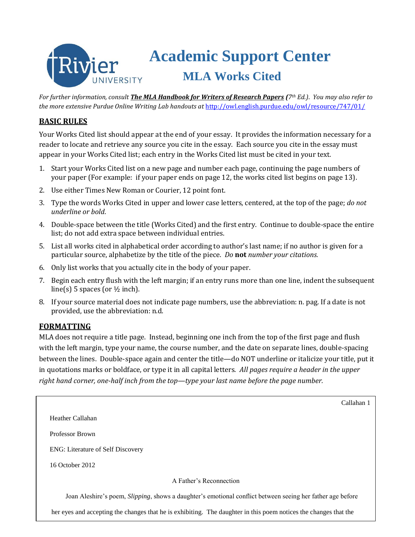# **Academic Support Center** ivier  **MLA Works Cited**

*For further information, consult The MLA Handbook for Writers of Research Papers (7th Ed.)*. *You may also refer to the more extensive Purdue Online Writing Lab handouts at* <http://owl.english.purdue.edu/owl/resource/747/01/>

### **BASIC RULES**

Your Works Cited list should appear at the end of your essay. It provides the information necessary for a reader to locate and retrieve any source you cite in the essay. Each source you cite in the essay must appear in your Works Cited list; each entry in the Works Cited list must be cited in your text.

- 1. Start your Works Cited list on a new page and number each page, continuing the page numbers of your paper (For example: if your paper ends on page 12, the works cited list begins on page 13).
- 2. Use either Times New Roman or Courier, 12 point font.
- 3. Type the words Works Cited in upper and lower case letters, centered, at the top of the page; *do not underline or bold*.
- 4. Double-space between the title (Works Cited) and the first entry. Continue to double-space the entire list; do not add extra space between individual entries.
- 5. List all works cited in alphabetical order according to author's last name; if no author is given for a particular source, alphabetize by the title of the piece. *Do* **not** *number your citations.*
- 6. Only list works that you actually cite in the body of your paper.
- 7. Begin each entry flush with the left margin; if an entry runs more than one line, indent the subsequent line(s) 5 spaces (or  $\frac{1}{2}$  inch).
- 8. If your source material does not indicate page numbers, use the abbreviation: n. pag. If a date is not provided, use the abbreviation: n.d.

### **FORMATTING**

MLA does not require a title page. Instead, beginning one inch from the top of the first page and flush with the left margin, type your name, the course number, and the date on separate lines, double-spacing between the lines. Double-space again and center the title—do NOT underline or italicize your title, put it in quotations marks or boldface, or type it in all capital letters. *All pages require a header in the upper right hand corner, one-half inch from the top—type your last name before the page number.*

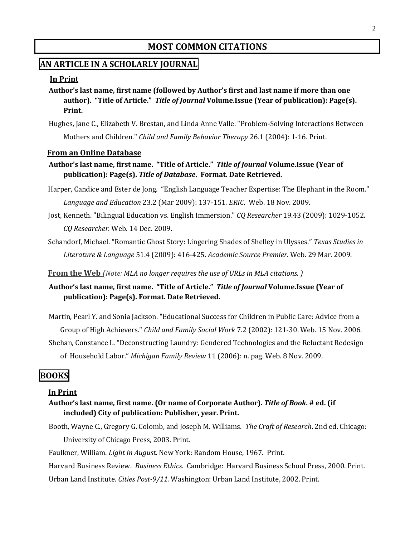# **MOST COMMON CITATIONS**

### **AN ARTICLE IN A SCHOLARLY JOURNAL**

#### **In Print**

- **Author's last name, first name (followed by Author's first and last name if more than one author). "Title of Article."** *Title of Journal* **Volume.Issue (Year of publication): Page(s). Print.**
- Hughes, Jane C., Elizabeth V. Brestan, and Linda Anne Valle. "Problem-Solving Interactions Between Mothers and Children." *Child and Family Behavior Therapy* 26.1 (2004): 1-16. Print.

#### **From an Online Database**

- **Author's last name, first name. "Title of Article."** *Title of Journal* **Volume.Issue (Year of publication): Page(s).** *Title of Database***. Format. Date Retrieved.**
- Harper, Candice and Ester de Jong. "English Language Teacher Expertise: The Elephant in the Room." *[Language and Education](javascript:__doLinkPostBack()* 23.2 (Mar 2009): 137-151. *ERIC*. Web. 18 Nov. 2009.
- Jost, Kenneth. "Bilingual Education vs. English Immersion." *CQ Researcher* 19.43 (2009): 1029-1052. *CQ Researcher*. Web. 14 Dec. 2009.
- Schandorf, Michael. "[Romantic Ghost Story: Lingering Shades of Shelley in Ulysses.](http://0-web.ebscohost.com.lib.rivier.edu/ehost/viewarticle?data=dGJyMPPp44rp2%2fdV0%2bnjisfk5Ie46OeO59vwRuvX54as2%2baH8eq%2bSa2orkewpq9InqewUq%2bpuE2wls5lpOrweezp33vy3%2b2G59q7Ra%2bptk6vqbBRsaakhN%2fk5VXj5KR84LPfiOac8nnls79mpNfsVbKtr1GvrLNJpNztiuvX8lXk6%2bqE8tv2jAAA&hid=5)" *Texas Studies in Literature & Language* 51.4 (2009): 416-425. *Academic Source Premier*. Web. 29 Mar. 2009.

 **From the Web** *(Note: MLA no longer requires the use of URLs in MLA citations. )*

**Author's last name, first name. "Title of Article."** *Title of Journal* **Volume.Issue (Year of publication): Page(s). Format. Date Retrieved.**

Martin, Pearl Y. and Sonia Jackson. "Educational Success for Children in Public Care: Advice from a Group of High Achievers." *Child and Family Social Work* 7.2 (2002): 121-30. Web. 15 Nov. 2006.

Shehan, Constance L. "Deconstructing Laundry: Gendered Technologies and the Reluctant Redesign of Household Labor." *Michigan Family Review* 11 (2006): n. pag. Web. 8 Nov. 2009.

### **BOOKS**

#### **In Print**

**Author's last name, first name. (Or name of Corporate Author).** *Title of Book***. # ed. (if included) City of publication: Publisher, year. Print.**

Booth, Wayne C., Gregory G. Colomb, and Joseph M. Williams. *The Craft of Research*. 2nd ed. Chicago: University of Chicago Press, 2003. Print.

Faulkner, William. *Light in August.* New York: Random House, 1967. Print.

 Harvard Business Review. *Business Ethics*. Cambridge: Harvard Business School Press, 2000. Print. Urban Land Institute. *Cities Post-9/11*. Washington: Urban Land Institute, 2002. Print.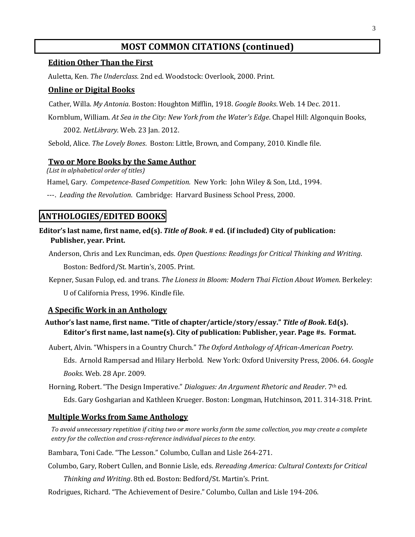## **MOST COMMON CITATIONS (continued)**

#### **Edition Other Than the First**

Auletta, Ken. *The Underclass*. 2nd ed. Woodstock: Overlook, 2000. Print.

#### **Online or Digital Books**

Cather, Willa. *My Antonia*. Boston: Houghton Mifflin, 1918. *Google Books*. Web. 14 Dec. 2011.

Kornblum, William. *At Sea in the City: New York from the Water's Edge*. Chapel Hill: Algonquin Books,

2002. *NetLibrary*. Web. 23 Jan. 2012.

Sebold, Alice. *The Lovely Bones*. Boston: Little, Brown, and Company, 2010. Kindle file.

#### **Two or More Books by the Same Author**

 *(List in alphabetical order of titles)*

Hamel, Gary. *Competence-Based Competition.* New York: John Wiley & Son, Ltd., 1994.

---. *Leading the Revolution*. Cambridge: Harvard Business School Press, 2000.

### **ANTHOLOGIES/EDITED BOOKS**

**Editor's last name, first name, ed(s).** *Title of Book***. # ed. (if included) City of publication: Publisher, year. Print.**

Anderson, Chris and Lex Runciman, eds. *Open Questions: Readings for Critical Thinking and Writing*.

Boston: Bedford/St. Martin's, 2005. Print.

Kepner, Susan Fulop, ed. and trans. *The Lioness in Bloom: Modern Thai Fiction About Women*. Berkeley: U of California Press, 1996. Kindle file.

### **A Specific Work in an Anthology**

### **Author's last name, first name. "Title of chapter/article/story/essay."** *Title of Book***. Ed(s). Editor's first name, last name(s). City of publication: Publisher, year. Page #s. Format.**

Aubert, Alvin. "Whispers in a Country Church." *The Oxford Anthology of African-American Poetry*.

Eds. Arnold Rampersad and Hilary Herbold. New York: Oxford University Press, 2006. 64. *Google Books*. Web. 28 Apr. 2009.

Horning, Robert. "The Design Imperative." *Dialogues: An Argument Rhetoric and Reader*. 7th ed.

Eds. Gary Goshgarian and Kathleen Krueger. Boston: Longman, Hutchinson, 2011. 314-318. Print.

### **Multiple Works from Same Anthology**

*To avoid unnecessary repetition if citing two or more works form the same collection, you may create a complete entry for the collection and cross-reference individual pieces to the entry.*

Bambara, Toni Cade. "The Lesson." Columbo, Cullan and Lisle 264-271.

Columbo, Gary, Robert Cullen, and Bonnie Lisle, eds. *Rereading America: Cultural Contexts for Critical* 

*Thinking and Writing*. 8th ed*.* Boston: Bedford/St. Martin's. Print.

Rodrigues, Richard. "The Achievement of Desire." Columbo, Cullan and Lisle 194-206.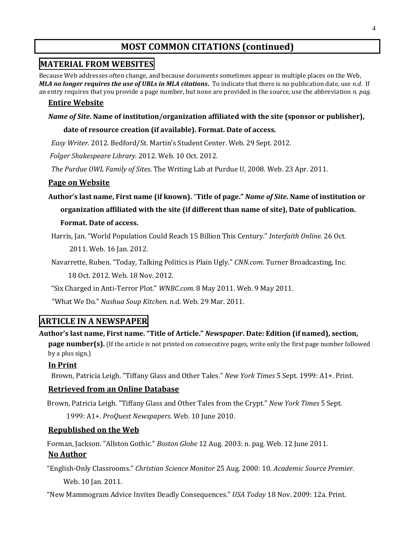# **MOST COMMON CITATIONS (continued)**

### **MATERIAL FROM WEBSITES**

Because Web addresses often change, and because documents sometimes appear in multiple places on the Web, *MLA no longer requires the use of URLs in MLA citations***.** To indicate that there is no publication date, use *n.d.* If an entry requires that you provide a page number, but none are provided in the source, use the abbreviation *n. pag.*

### **Entire Website**

#### *Name of Site***. Name of institution/organization affiliated with the site (sponsor or publisher),**

#### **date of resource creation (if available). Format. Date of access.**

*Easy Writer.* 2012. Bedford/St. Martin's Student Center. Web. 29 Sept. 2012.

*Folger Shakespeare Library.* 2012. Web. 10 Oct. 2012.

*The Purdue OWL Family of Sites*. The Writing Lab at Purdue U, 2008. Web. 23 Apr. 2011.

#### **Page on Website**

**Author's last name, First name (if known).** "**Title of page."** *Name of Site***. Name of institution or organization affiliated with the site (if different than name of site), Date of publication.** 

#### **Format. Date of access.**

Harris, Jan. "World Population Could Reach 15 Billion This Century." *Interfaith Online.* 26 Oct.

2011. Web. 16 Jan. 2012.

Navarrette, Ruben. "Today, Talking Politics is Plain Ugly." *CNN.com*. Turner Broadcasting, Inc. 18 Oct. 2012. Web. 18 Nov. 2012.

"Six Charged in Anti-Terror Plot." *WNBC.com.* 8 May 2011. Web. 9 May 2011.

"What We Do." *Nashua Soup Kitchen*. n.d. Web. 29 Mar. 2011.

### **ARTICLE IN A NEWSPAPER**

### **Author's last name, First name. "Title of Article."** *Newspaper***. Date: Edition (if named), section,**

**page number(s).** (If the article is not printed on consecutive pages, write only the first page number followed by a plus sign.)

### **In Print**

Brown, Patricia Leigh. "Tiffany Glass and Other Tales." *New York Times* 5 Sept. 1999: A1+. Print.

### **Retrieved from an Online Database**

Brown, Patricia Leigh. "Tiffany Glass and Other Tales from the Crypt." *New York Times* 5 Sept.

1999: A1+. *ProQuest Newspapers*. Web. 10 June 2010.

### **Republished on the Web**

Forman, Jackson. "Allston Gothic." *Boston Globe* 12 Aug. 2003: n. pag. Web. 12 June 2011.

### **No Author**

 "English-Only Classrooms." *Christian Science Monitor* 25 Aug. 2000: 10. *Academic Source Premier*. Web. 10 Jan. 2011.

"New Mammogram Advice Invites Deadly Consequences." *USA Today* 18 Nov. 2009: 12a. Print.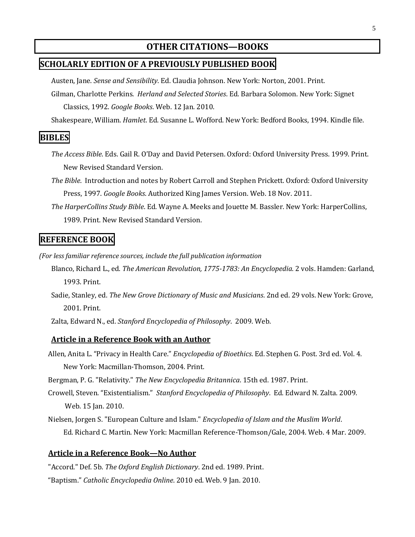# **OTHER CITATIONS—BOOKS**

### **SCHOLARLY EDITION OF A PREVIOUSLY PUBLISHED BOOK**

Austen, Jane. *Sense and Sensibility*. Ed. Claudia Johnson. New York: Norton, 2001. Print.

Gilman, Charlotte Perkins. *Herland and Selected Stories*. Ed. Barbara Solomon. New York: Signet Classics, 1992. *Google Books*. Web. 12 Jan. 2010.

Shakespeare, William. *Hamlet*. Ed. Susanne L. Wofford. New York: Bedford Books, 1994. Kindle file.

### **BIBLES**

- *The Access Bible*. Eds. Gail R. O'Day and David Petersen. Oxford: Oxford University Press. 1999. Print. New Revised Standard Version.
- *The Bible*. Introduction and notes by Robert Carroll and Stephen Prickett. Oxford: Oxford University Press, 1997. *Google Books*. Authorized King James Version. Web. 18 Nov. 2011.
- *The HarperCollins Study Bible*. Ed. Wayne A. Meeks and Jouette M. Bassler. New York: HarperCollins, 1989. Print. New Revised Standard Version.

### **REFERENCE BOOK**

*(For less familiar reference sources, include the full publication information*

- Blanco, Richard L., ed. *The American Revolution, 1775-1783: An Encyclopedia*. 2 vols. Hamden: Garland, 1993. Print.
- Sadie, Stanley, ed. *The New Grove Dictionary of Music and Musicians*. 2nd ed. 29 vols. New York: Grove, 2001. Print.
- Zalta, Edward N., ed. *Stanford Encyclopedia of Philosophy*. 2009. Web.

#### **Article in a Reference Book with an Author**

Allen, Anita L. "Privacy in Health Care." *Encyclopedia of Bioethics*. Ed. Stephen G. Post. 3rd ed. Vol. 4. New York: Macmillan-Thomson, 2004. Print.

Bergman, P. G. "Relativity." *The New Encyclopedia Britannica*. 15th ed. 1987. Print.

- Crowell, Steven. "Existentialism." *Stanford Encyclopedia of Philosophy*. Ed. Edward N. Zalta. 2009. Web. 15 Jan. 2010.
- Nielsen, Jorgen S. "European Culture and Islam." *Encyclopedia of Islam and the Muslim World*. Ed. Richard C. Martin. New York: Macmillan Reference-Thomson/Gale, 2004. Web. 4 Mar. 2009.

#### **Article in a Reference Book—No Author**

"Accord." Def. 5b. *The Oxford English Dictionary*. 2nd ed. 1989. Print.

"Baptism." *Catholic Encyclopedia Online*. 2010 ed. Web. 9 Jan. 2010.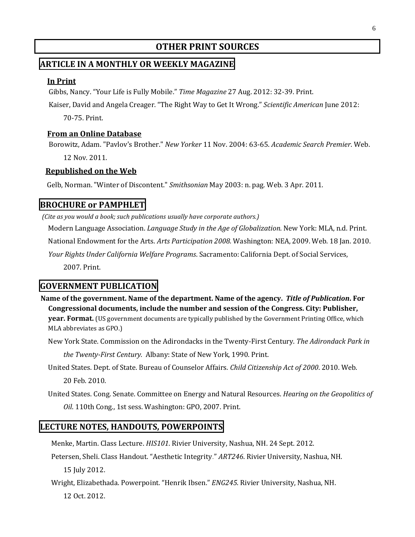# **OTHER PRINT SOURCES**

### **ARTICLE IN A MONTHLY OR WEEKLY MAGAZINE**

#### **In Print**

Gibbs, Nancy. "Your Life is Fully Mobile." *Time Magazine* 27 Aug. 2012: 32-39. Print.

Kaiser, David and Angela Creager. "The Right Way to Get It Wrong." *Scientific American* June 2012:

70-75. Print.

#### **From an Online Database**

Borowitz, Adam. "Pavlov's Brother." *New Yorker* 11 Nov. 2004: 63-65. *Academic Search Premier*. Web.

12 Nov. 2011.

#### **Republished on the Web**

Gelb, Norman. "Winter of Discontent." *Smithsonian* May 2003: n. pag. Web. 3 Apr. 2011.

### **BROCHURE or PAMPHLET**

*(Cite as you would a book; such publications usually have corporate authors.)*

Modern Language Association. *Language Study in the Age of Globalization*. New York: MLA, n.d. Print. National Endowment for the Arts. *Arts Participation 2008.* Washington: NEA, 2009. Web. 18 Jan. 2010. *Your Rights Under California Welfare Programs*. Sacramento: California Dept. of Social Services, 2007. Print.

### **GOVERNMENT PUBLICATION**

**Name of the government. Name of the department. Name of the agency.** *Title of Publication***. For Congressional documents, include the number and session of the Congress. City: Publisher, year. Format.** (US government documents are typically published by the Government Printing Office, which MLA abbreviates as GPO.)

New York State. Commission on the Adirondacks in the Twenty-First Century. *The Adirondack Park in* 

*the Twenty-First Century.* Albany: State of New York, 1990. Print.

United States. Dept. of State. Bureau of Counselor Affairs. *Child Citizenship Act of 2000*. 2010. Web. 20 Feb. 2010.

United States. Cong. Senate. Committee on Energy and Natural Resources. *Hearing on the Geopolitics of Oil*. 110th Cong., 1st sess. Washington: GPO, 2007. Print.

### **LECTURE NOTES, HANDOUTS, POWERPOINTS**

Menke, Martin. Class Lecture. *HIS101*. Rivier University, Nashua, NH. 24 Sept. 2012.

Petersen, Sheli. Class Handout. "Aesthetic Integrity." *ART246*. Rivier University, Nashua, NH. 15 July 2012.

Wright, Elizabethada. Powerpoint. "Henrik Ibsen." *ENG245*. Rivier University, Nashua, NH.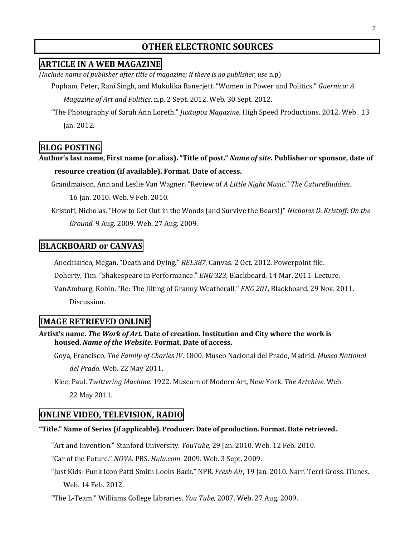# **OTHER ELECTRONIC SOURCES**

### **ARTICLE IN A WEB MAGAZINE**

*(Include name of publisher after title of magazine; if there is no publisher, use* n.p)

Popham, Peter, Rani Singh, and Mukulika Banerjett. "Women in Power and Politics." *Guernica: A* 

*Magazine of Art and Politics*, n.p. 2 Sept. 2012. Web. 30 Sept. 2012.

"The Photography of Sarah Ann Loreth." *Juxtapoz Magazine,* High Speed Productions. 2012. Web. 13 Jan. 2012.

# **BLOG POSTING**

**Author's last name, First name (or alias).** "**Title of post."** *Name of site***. Publisher or sponsor, date of resource creation (if available). Format. Date of access.**

Grandmaison, Ann and Leslie Van Wagner. "Review of *A Little Night Music*." *The CutureBuddies*.

16 Jan. 2010. Web. 9 Feb. 2010.

Kristoff, Nicholas. "How to Get Out in the Woods (and Survive the Bears!)" *Nicholas D. Kristoff: On the Ground*. 9 Aug. 2009. Web. 27 Aug. 2009.

### **BLACKBOARD or CANVAS**

Anechiarico, Megan. "Death and Dying." *REL387*, Canvas. 2 Oct. 2012. Powerpoint file.

Doherty, Tim. "Shakespeare in Performance." *ENG 323*, Blackboard. 14 Mar. 2011. Lecture.

VanAmburg, Robin. "Re: The Jilting of Granny Weatherall." *ENG 201*, Blackboard. 29 Nov. 2011. Discussion.

### **IMAGE RETRIEVED ONLINE**

**Artist's name.** *The Work of Art***. Date of creation. Institution and City where the work is housed.** *Name of the Website***. Format. Date of access.**

Goya, Francisco. *The Family of Charles IV*. 1800. Museo Nacional del Prado, Madrid. *Museo National* 

*del Prado*. Web. 22 May 2011.

Klee, Paul. *Twittering Machine*. 1922. Museum of Modern Art, New York. *The Artchive*. Web. 22 May 2011.

### **ONLINE VIDEO, TELEVISION, RADIO**

#### **"Title." Name of Series (if applicable). Producer. Date of production. Format. Date retrieved.**

"Art and Invention." Stanford University. *YouTube,* 29 Jan. 2010. Web. 12 Feb. 2010.

"Car of the Future." *NOVA*. PBS. *Hulu.com*. 2009. Web. 3 Sept. 2009.

"Just Kids: Punk Icon Patti Smith Looks Back." NPR. *Fresh Air*, 19 Jan. 2010. Narr. Terri Gross. iTunes. Web. 14 Feb. 2012.

"The L-Team." Williams College Libraries. *You Tube,* 2007. Web. 27 Aug. 2009.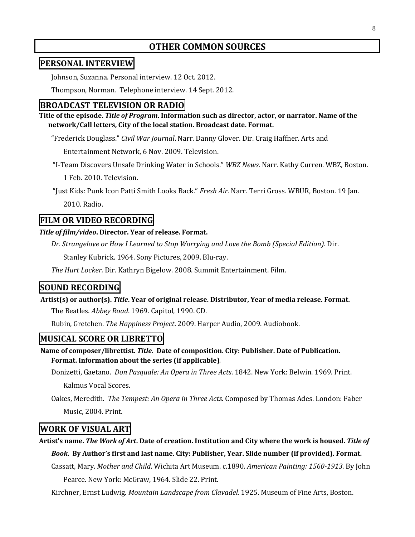### **OTHER COMMON SOURCES**

### **PERSONAL INTERVIEW**

Johnson, Suzanna. Personal interview. 12 Oct. 2012.

Thompson, Norman. Telephone interview. 14 Sept. 2012.

### **BROADCAST TELEVISION OR RADIO**

**Title of the episode.** *Title of Program***. Information such as director, actor, or narrator. Name of the network/Call letters, City of the local station. Broadcast date. Format.**

"Frederick Douglass." *Civil War Journal*. Narr. Danny Glover. Dir. Craig Haffner. Arts and

Entertainment Network, 6 Nov. 2009. Television.

"I-Team Discovers Unsafe Drinking Water in Schools." *WBZ News*. Narr. Kathy Curren. WBZ, Boston.

1 Feb. 2010. Television.

"Just Kids: Punk Icon Patti Smith Looks Back." *Fresh Air*. Narr. Terri Gross. WBUR, Boston. 19 Jan. 2010. Radio.

### **FILM OR VIDEO RECORDING**

#### *Title of film/video***. Director. Year of release. Format.**

*Dr. Strangelove or How I Learned to Stop Worrying and Love the Bomb (Special Edition).* Dir.

Stanley Kubrick. 1964. Sony Pictures, 2009. Blu-ray.

*The Hurt Locker.* Dir. Kathryn Bigelow. 2008. Summit Entertainment. Film.

### **SOUND RECORDING**

**Artist(s) or author(s).** *Title***. Year of original release. Distributor, Year of media release. Format.**  The Beatles. *Abbey Road*. 1969. Capitol, 1990. CD.

Rubin, Gretchen. *The Happiness Project*. 2009. Harper Audio, 2009. Audiobook.

### **MUSICAL SCORE OR LIBRETTO**

**Name of composer/librettist.** *Title***. Date of composition. City: Publisher. Date of Publication. Format. Information about the series (if applicable)***.*

Donizetti, Gaetano. *Don Pasquale: An Opera in Three Acts*. 1842. New York: Belwin. 1969. Print. Kalmus Vocal Scores.

Oakes, Meredith. *The Tempest: An Opera in Three Acts*. Composed by Thomas Ades. London: Faber Music, 2004. Print.

### **WORK OF VISUAL ART**

**Artist's name.** *The Work of Art***. Date of creation. Institution and City where the work is housed.** *Title of Book***. By Author's first and last name. City: Publisher, Year. Slide number (if provided). Format.**

Cassatt, Mary. *Mother and Child*. Wichita Art Museum. c.1890. *American Painting: 1560-1913*. By John

Pearce. New York: McGraw, 1964. Slide 22. Print.

Kirchner, Ernst Ludwig. *Mountain Landscape from Clavadel.* 1925. Museum of Fine Arts, Boston.